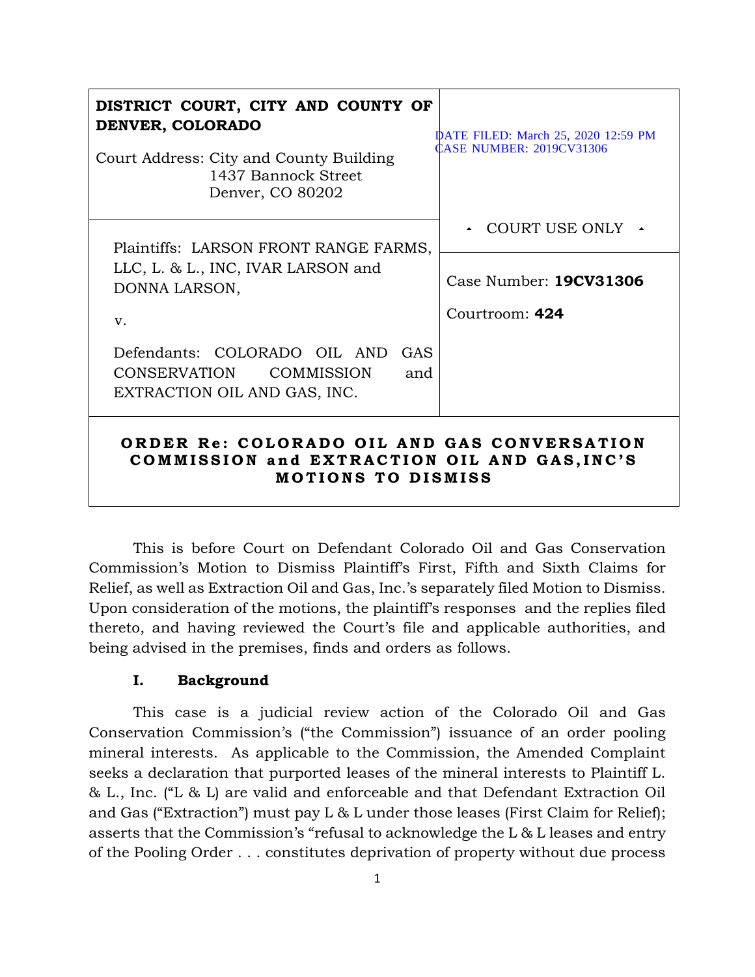| DISTRICT COURT, CITY AND COUNTY OF<br>DENVER, COLORADO<br>Court Address: City and County Building<br>1437 Bannock Street<br>Denver, CO 80202 | DATE FILED: March 25, 2020 12:59 PM<br><b>CASE NUMBER: 2019CV31306</b> |
|----------------------------------------------------------------------------------------------------------------------------------------------|------------------------------------------------------------------------|
| Plaintiffs: LARSON FRONT RANGE FARMS,<br>LLC, L. & L., INC, IVAR LARSON and<br>DONNA LARSON,                                                 | COURT USE ONLY 4<br>Case Number: 19CV31306<br>Courtroom: 424           |
| $V_{\cdot}$<br>Defendants: COLORADO OIL AND GAS<br>CONSERVATION<br>COMMISSION<br>and<br>EXTRACTION OIL AND GAS, INC.                         |                                                                        |
| ORDER Re: COLORADO OIL AND GAS CONVERSATION<br>COMMISSION and EXTRACTION OIL AND GAS, INC'S<br><b>MOTIONS TO DISMISS</b>                     |                                                                        |

This is before Court on Defendant Colorado Oil and Gas Conservation Commission's Motion to Dismiss Plaintiff's First, Fifth and Sixth Claims for Relief, as well as Extraction Oil and Gas, Inc.'s separately filed Motion to Dismiss. Upon consideration of the motions, the plaintiff's responses and the replies filed thereto, and having reviewed the Court's file and applicable authorities, and being advised in the premises, finds and orders as follows.

# **I. Background**

This case is a judicial review action of the Colorado Oil and Gas Conservation Commission's ("the Commission") issuance of an order pooling mineral interests. As applicable to the Commission, the Amended Complaint seeks a declaration that purported leases of the mineral interests to Plaintiff L. & L., Inc. ("L & L) are valid and enforceable and that Defendant Extraction Oil and Gas ("Extraction") must pay L & L under those leases (First Claim for Relief); asserts that the Commission's "refusal to acknowledge the L & L leases and entry of the Pooling Order . . . constitutes deprivation of property without due process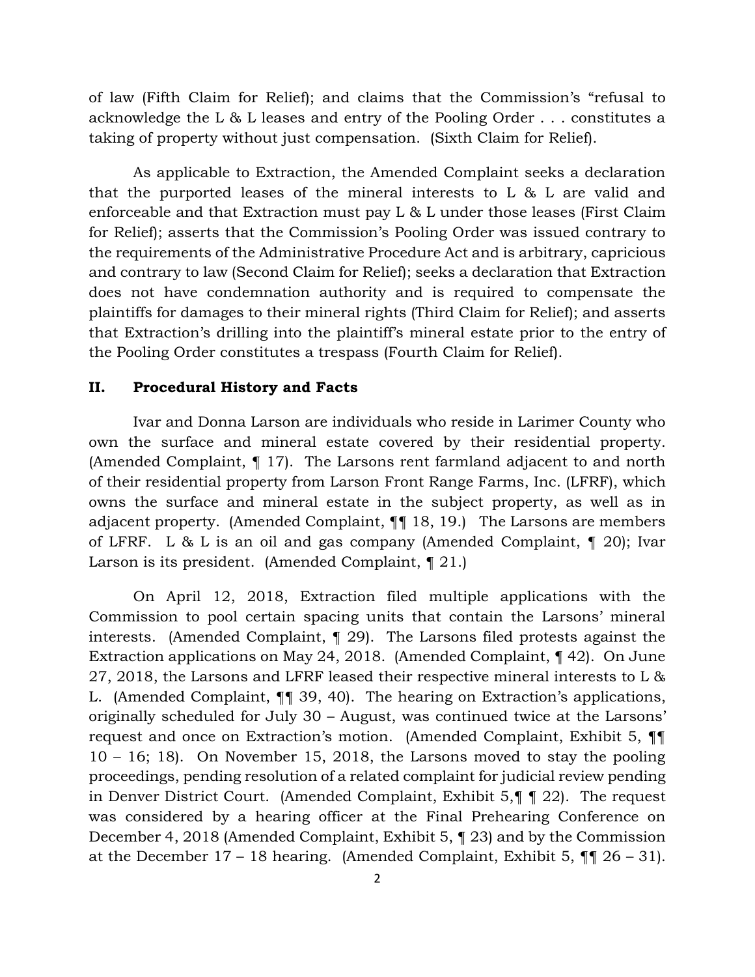of law (Fifth Claim for Relief); and claims that the Commission's "refusal to acknowledge the L & L leases and entry of the Pooling Order . . . constitutes a taking of property without just compensation. (Sixth Claim for Relief).

As applicable to Extraction, the Amended Complaint seeks a declaration that the purported leases of the mineral interests to L & L are valid and enforceable and that Extraction must pay L & L under those leases (First Claim for Relief); asserts that the Commission's Pooling Order was issued contrary to the requirements of the Administrative Procedure Act and is arbitrary, capricious and contrary to law (Second Claim for Relief); seeks a declaration that Extraction does not have condemnation authority and is required to compensate the plaintiffs for damages to their mineral rights (Third Claim for Relief); and asserts that Extraction's drilling into the plaintiff's mineral estate prior to the entry of the Pooling Order constitutes a trespass (Fourth Claim for Relief).

#### **II. Procedural History and Facts**

Ivar and Donna Larson are individuals who reside in Larimer County who own the surface and mineral estate covered by their residential property. (Amended Complaint, ¶ 17). The Larsons rent farmland adjacent to and north of their residential property from Larson Front Range Farms, Inc. (LFRF), which owns the surface and mineral estate in the subject property, as well as in adjacent property. (Amended Complaint, ¶¶ 18, 19.) The Larsons are members of LFRF. L & L is an oil and gas company (Amended Complaint, ¶ 20); Ivar Larson is its president. (Amended Complaint, ¶ 21.)

On April 12, 2018, Extraction filed multiple applications with the Commission to pool certain spacing units that contain the Larsons' mineral interests. (Amended Complaint, ¶ 29). The Larsons filed protests against the Extraction applications on May 24, 2018. (Amended Complaint, ¶ 42). On June 27, 2018, the Larsons and LFRF leased their respective mineral interests to L & L. (Amended Complaint, ¶¶ 39, 40). The hearing on Extraction's applications, originally scheduled for July 30 – August, was continued twice at the Larsons' request and once on Extraction's motion. (Amended Complaint, Exhibit 5, ¶¶ 10 – 16; 18). On November 15, 2018, the Larsons moved to stay the pooling proceedings, pending resolution of a related complaint for judicial review pending in Denver District Court. (Amended Complaint, Exhibit 5,¶ ¶ 22). The request was considered by a hearing officer at the Final Prehearing Conference on December 4, 2018 (Amended Complaint, Exhibit 5, ¶ 23) and by the Commission at the December 17 – 18 hearing. (Amended Complaint, Exhibit 5,  $\P\P$  26 – 31).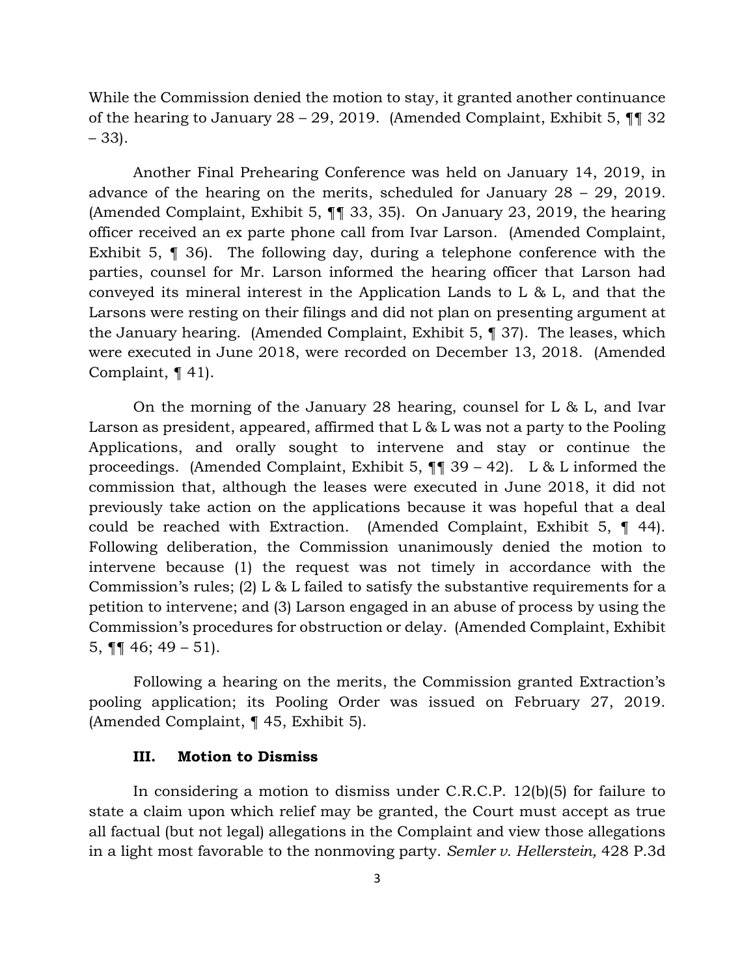While the Commission denied the motion to stay, it granted another continuance of the hearing to January 28 – 29, 2019. (Amended Complaint, Exhibit 5, ¶¶ 32 – 33).

Another Final Prehearing Conference was held on January 14, 2019, in advance of the hearing on the merits, scheduled for January 28 – 29, 2019. (Amended Complaint, Exhibit 5, ¶¶ 33, 35). On January 23, 2019, the hearing officer received an ex parte phone call from Ivar Larson. (Amended Complaint, Exhibit 5, ¶ 36). The following day, during a telephone conference with the parties, counsel for Mr. Larson informed the hearing officer that Larson had conveyed its mineral interest in the Application Lands to L & L, and that the Larsons were resting on their filings and did not plan on presenting argument at the January hearing. (Amended Complaint, Exhibit 5, ¶ 37). The leases, which were executed in June 2018, were recorded on December 13, 2018. (Amended Complaint, ¶ 41).

On the morning of the January 28 hearing, counsel for L & L, and Ivar Larson as president, appeared, affirmed that L & L was not a party to the Pooling Applications, and orally sought to intervene and stay or continue the proceedings. (Amended Complaint, Exhibit 5,  $\P$   $\P$  39 – 42). L & L informed the commission that, although the leases were executed in June 2018, it did not previously take action on the applications because it was hopeful that a deal could be reached with Extraction. (Amended Complaint, Exhibit 5, ¶ 44). Following deliberation, the Commission unanimously denied the motion to intervene because (1) the request was not timely in accordance with the Commission's rules; (2) L & L failed to satisfy the substantive requirements for a petition to intervene; and (3) Larson engaged in an abuse of process by using the Commission's procedures for obstruction or delay. (Amended Complaint, Exhibit 5,  $\P\P$  46; 49 – 51).

Following a hearing on the merits, the Commission granted Extraction's pooling application; its Pooling Order was issued on February 27, 2019. (Amended Complaint, ¶ 45, Exhibit 5).

## **III. Motion to Dismiss**

In considering a motion to dismiss under C.R.C.P. 12(b)(5) for failure to state a claim upon which relief may be granted, the Court must accept as true all factual (but not legal) allegations in the Complaint and view those allegations in a light most favorable to the nonmoving party. *Semler v. Hellerstein,* 428 P.3d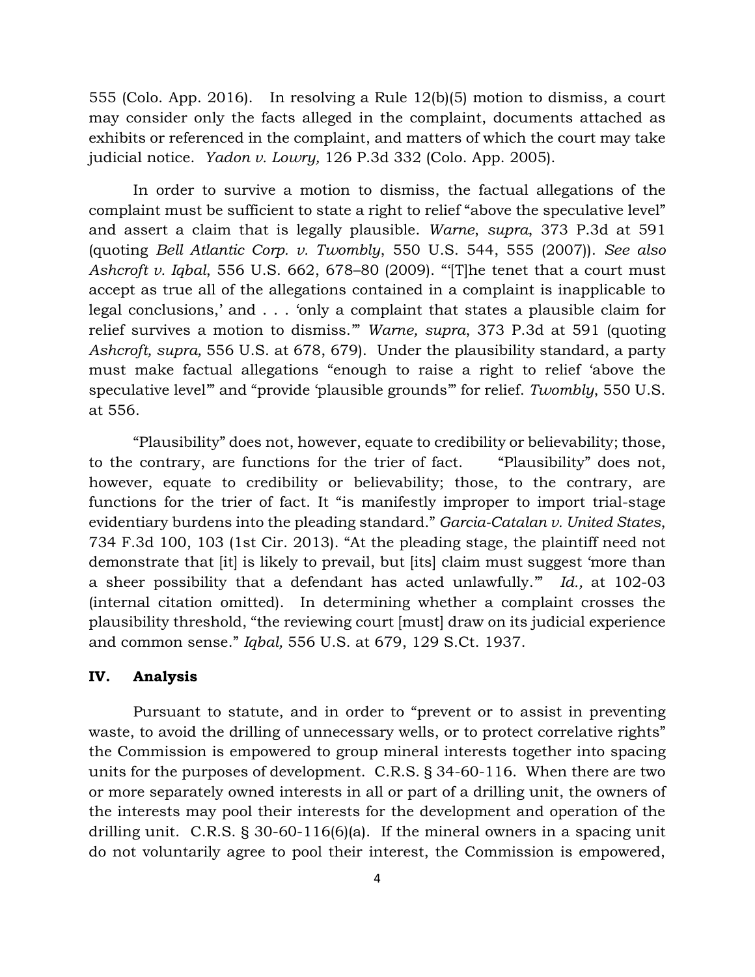555 (Colo. App. 2016). In resolving a Rule 12(b)(5) motion to dismiss, a court may consider only the facts alleged in the complaint, documents attached as exhibits or referenced in the complaint, and matters of which the court may take judicial notice. *Yadon v. Lowry,* 126 P.3d 332 (Colo. App. 2005).

In order to survive a motion to dismiss, the factual allegations of the complaint must be sufficient to state a right to relief "above the speculative level" and assert a claim that is legally plausible. *Warne*, *supra*, 373 P.3d at 591 (quoting *Bell Atlantic Corp. v. Twombly*, 550 U.S. 544, 555 (2007)). *See also Ashcroft v. Iqbal*, 556 U.S. 662, 678–80 (2009). "'[T]he tenet that a court must accept as true all of the allegations contained in a complaint is inapplicable to legal conclusions,' and . . . 'only a complaint that states a plausible claim for relief survives a motion to dismiss.'" *Warne, supra*, 373 P.3d at 591 (quoting *Ashcroft, supra,* 556 U.S. at 678, 679). Under the plausibility standard, a party must make factual allegations "enough to raise a right to relief 'above the speculative level'" and "provide 'plausible grounds'" for relief. *Twombly*, 550 U.S. at 556.

"Plausibility" does not, however, equate to credibility or believability; those, to the contrary, are functions for the trier of fact. "Plausibility" does not, however, equate to credibility or believability; those, to the contrary, are functions for the trier of fact. It "is manifestly improper to import trial-stage evidentiary burdens into the pleading standard." *Garcia-Catalan v. United States*, 734 F.3d 100, 103 (1st Cir. 2013). "At the pleading stage, the plaintiff need not demonstrate that [it] is likely to prevail, but [its] claim must suggest 'more than a sheer possibility that a defendant has acted unlawfully.'" *Id.,* at 102-03 (internal citation omitted). In determining whether a complaint crosses the plausibility threshold, "the reviewing court [must] draw on its judicial experience and common sense." *Iqbal,* 556 U.S. at 679, 129 S.Ct. 1937.

## **IV. Analysis**

Pursuant to statute, and in order to "prevent or to assist in preventing waste, to avoid the drilling of unnecessary wells, or to protect correlative rights" the Commission is empowered to group mineral interests together into spacing units for the purposes of development. C.R.S. § 34-60-116. When there are two or more separately owned interests in all or part of a drilling unit, the owners of the interests may pool their interests for the development and operation of the drilling unit. C.R.S. § 30-60-116(6)(a). If the mineral owners in a spacing unit do not voluntarily agree to pool their interest, the Commission is empowered,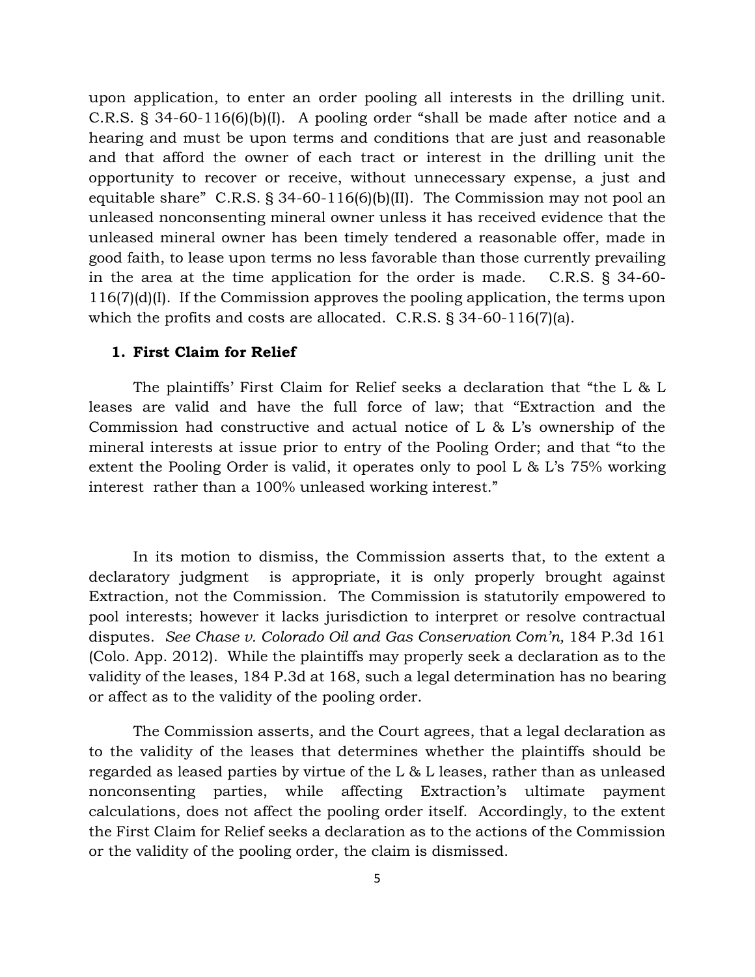upon application, to enter an order pooling all interests in the drilling unit. C.R.S. § 34-60-116(6)(b)(I). A pooling order "shall be made after notice and a hearing and must be upon terms and conditions that are just and reasonable and that afford the owner of each tract or interest in the drilling unit the opportunity to recover or receive, without unnecessary expense, a just and equitable share" C.R.S. § 34-60-116(6)(b)(II). The Commission may not pool an unleased nonconsenting mineral owner unless it has received evidence that the unleased mineral owner has been timely tendered a reasonable offer, made in good faith, to lease upon terms no less favorable than those currently prevailing in the area at the time application for the order is made. C.R.S. § 34-60- 116(7)(d)(I). If the Commission approves the pooling application, the terms upon which the profits and costs are allocated. C.R.S. § 34-60-116(7)(a).

### **1. First Claim for Relief**

The plaintiffs' First Claim for Relief seeks a declaration that "the L & L leases are valid and have the full force of law; that "Extraction and the Commission had constructive and actual notice of L & L's ownership of the mineral interests at issue prior to entry of the Pooling Order; and that "to the extent the Pooling Order is valid, it operates only to pool L & L's 75% working interest rather than a 100% unleased working interest."

In its motion to dismiss, the Commission asserts that, to the extent a declaratory judgment is appropriate, it is only properly brought against Extraction, not the Commission. The Commission is statutorily empowered to pool interests; however it lacks jurisdiction to interpret or resolve contractual disputes. *See Chase v. Colorado Oil and Gas Conservation Com'n,* 184 P.3d 161 (Colo. App. 2012). While the plaintiffs may properly seek a declaration as to the validity of the leases, 184 P.3d at 168, such a legal determination has no bearing or affect as to the validity of the pooling order.

The Commission asserts, and the Court agrees, that a legal declaration as to the validity of the leases that determines whether the plaintiffs should be regarded as leased parties by virtue of the L & L leases, rather than as unleased nonconsenting parties, while affecting Extraction's ultimate payment calculations, does not affect the pooling order itself. Accordingly, to the extent the First Claim for Relief seeks a declaration as to the actions of the Commission or the validity of the pooling order, the claim is dismissed.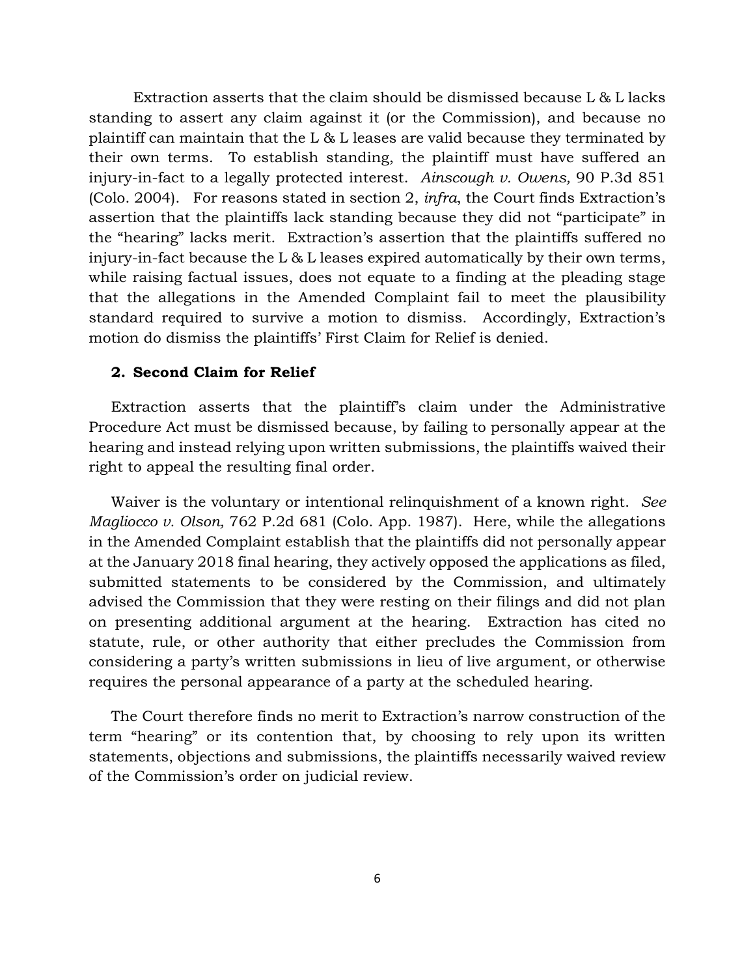Extraction asserts that the claim should be dismissed because L & L lacks standing to assert any claim against it (or the Commission), and because no plaintiff can maintain that the L & L leases are valid because they terminated by their own terms. To establish standing, the plaintiff must have suffered an injury-in-fact to a legally protected interest. *Ainscough v. Owens,* 90 P.3d 851 (Colo. 2004). For reasons stated in section 2, *infra*, the Court finds Extraction's assertion that the plaintiffs lack standing because they did not "participate" in the "hearing" lacks merit. Extraction's assertion that the plaintiffs suffered no injury-in-fact because the L & L leases expired automatically by their own terms, while raising factual issues, does not equate to a finding at the pleading stage that the allegations in the Amended Complaint fail to meet the plausibility standard required to survive a motion to dismiss. Accordingly, Extraction's motion do dismiss the plaintiffs' First Claim for Relief is denied.

## **2. Second Claim for Relief**

Extraction asserts that the plaintiff's claim under the Administrative Procedure Act must be dismissed because, by failing to personally appear at the hearing and instead relying upon written submissions, the plaintiffs waived their right to appeal the resulting final order.

Waiver is the voluntary or intentional relinquishment of a known right. *See Magliocco v. Olson, 762 P.2d 681 (Colo. App. 1987). Here, while the allegations* in the Amended Complaint establish that the plaintiffs did not personally appear at the January 2018 final hearing, they actively opposed the applications as filed, submitted statements to be considered by the Commission, and ultimately advised the Commission that they were resting on their filings and did not plan on presenting additional argument at the hearing. Extraction has cited no statute, rule, or other authority that either precludes the Commission from considering a party's written submissions in lieu of live argument, or otherwise requires the personal appearance of a party at the scheduled hearing.

The Court therefore finds no merit to Extraction's narrow construction of the term "hearing" or its contention that, by choosing to rely upon its written statements, objections and submissions, the plaintiffs necessarily waived review of the Commission's order on judicial review.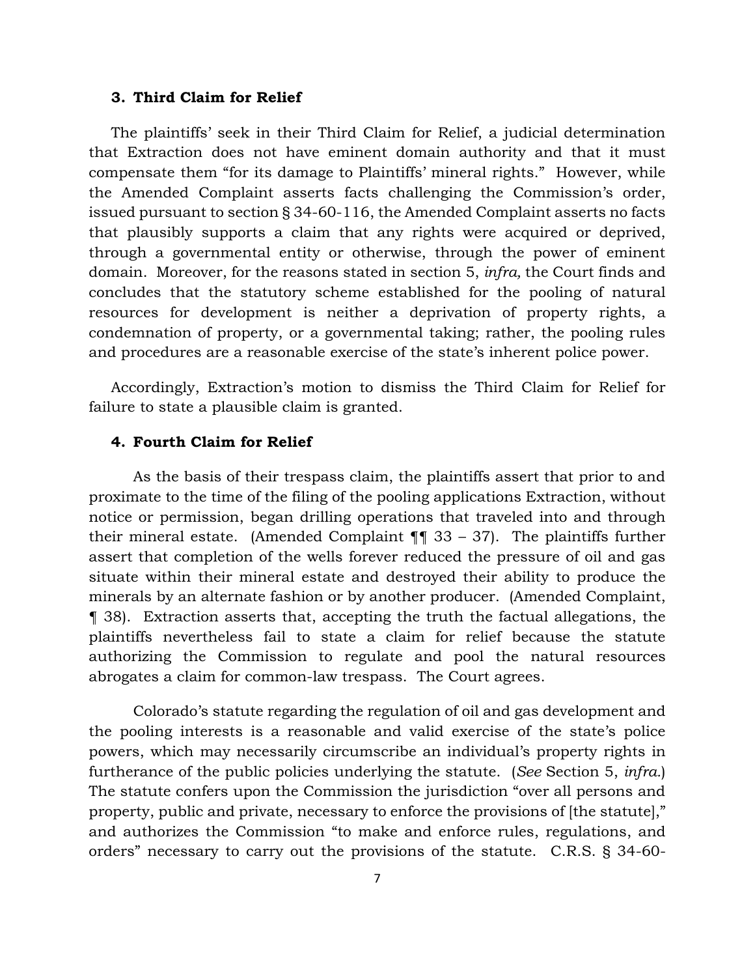### **3. Third Claim for Relief**

The plaintiffs' seek in their Third Claim for Relief, a judicial determination that Extraction does not have eminent domain authority and that it must compensate them "for its damage to Plaintiffs' mineral rights." However, while the Amended Complaint asserts facts challenging the Commission's order, issued pursuant to section § 34-60-116, the Amended Complaint asserts no facts that plausibly supports a claim that any rights were acquired or deprived, through a governmental entity or otherwise, through the power of eminent domain. Moreover, for the reasons stated in section 5, *infra,* the Court finds and concludes that the statutory scheme established for the pooling of natural resources for development is neither a deprivation of property rights, a condemnation of property, or a governmental taking; rather, the pooling rules and procedures are a reasonable exercise of the state's inherent police power.

Accordingly, Extraction's motion to dismiss the Third Claim for Relief for failure to state a plausible claim is granted.

# **4. Fourth Claim for Relief**

As the basis of their trespass claim, the plaintiffs assert that prior to and proximate to the time of the filing of the pooling applications Extraction, without notice or permission, began drilling operations that traveled into and through their mineral estate. (Amended Complaint  $\P$  33 – 37). The plaintiffs further assert that completion of the wells forever reduced the pressure of oil and gas situate within their mineral estate and destroyed their ability to produce the minerals by an alternate fashion or by another producer. (Amended Complaint, ¶ 38). Extraction asserts that, accepting the truth the factual allegations, the plaintiffs nevertheless fail to state a claim for relief because the statute authorizing the Commission to regulate and pool the natural resources abrogates a claim for common-law trespass. The Court agrees.

Colorado's statute regarding the regulation of oil and gas development and the pooling interests is a reasonable and valid exercise of the state's police powers, which may necessarily circumscribe an individual's property rights in furtherance of the public policies underlying the statute. (*See* Section 5, *infra.*) The statute confers upon the Commission the jurisdiction "over all persons and property, public and private, necessary to enforce the provisions of [the statute]," and authorizes the Commission "to make and enforce rules, regulations, and orders" necessary to carry out the provisions of the statute. C.R.S. § 34-60-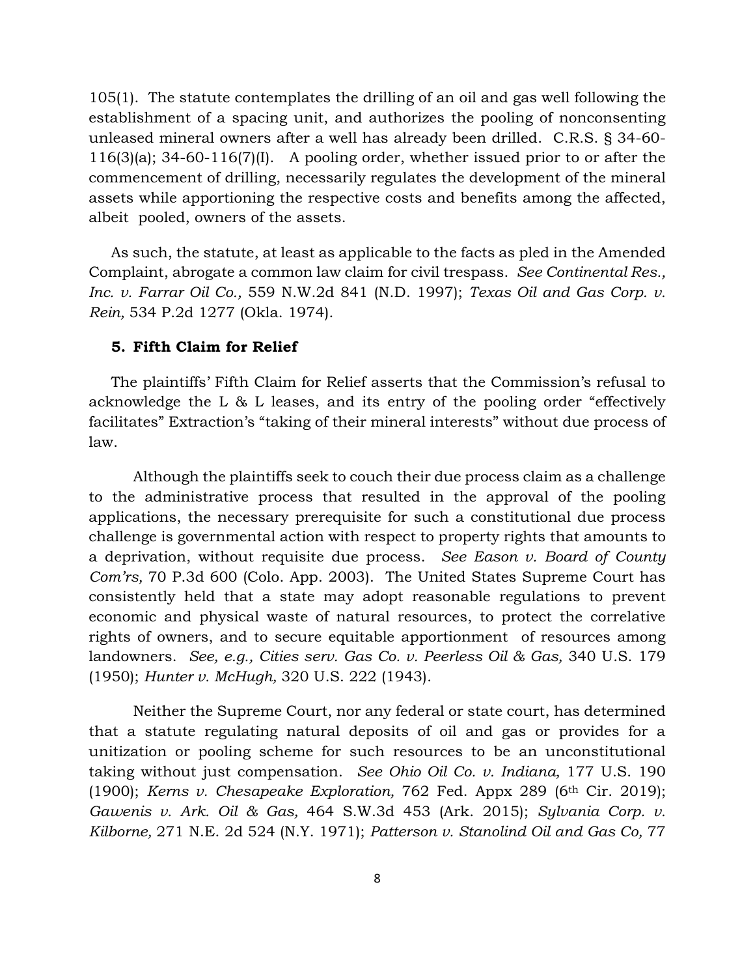105(1). The statute contemplates the drilling of an oil and gas well following the establishment of a spacing unit, and authorizes the pooling of nonconsenting unleased mineral owners after a well has already been drilled. C.R.S. § 34-60- 116(3)(a); 34-60-116(7)(I). A pooling order, whether issued prior to or after the commencement of drilling, necessarily regulates the development of the mineral assets while apportioning the respective costs and benefits among the affected, albeit pooled, owners of the assets.

As such, the statute, at least as applicable to the facts as pled in the Amended Complaint, abrogate a common law claim for civil trespass. *See Continental Res., Inc. v. Farrar Oil Co.,* 559 N.W.2d 841 (N.D. 1997); *Texas Oil and Gas Corp. v. Rein,* 534 P.2d 1277 (Okla. 1974).

# **5. Fifth Claim for Relief**

The plaintiffs' Fifth Claim for Relief asserts that the Commission's refusal to acknowledge the L & L leases, and its entry of the pooling order "effectively facilitates" Extraction's "taking of their mineral interests" without due process of law.

Although the plaintiffs seek to couch their due process claim as a challenge to the administrative process that resulted in the approval of the pooling applications, the necessary prerequisite for such a constitutional due process challenge is governmental action with respect to property rights that amounts to a deprivation, without requisite due process. *See Eason v. Board of County Com'rs,* 70 P.3d 600 (Colo. App. 2003). The United States Supreme Court has consistently held that a state may adopt reasonable regulations to prevent economic and physical waste of natural resources, to protect the correlative rights of owners, and to secure equitable apportionment of resources among landowners. *See, e.g., Cities serv. Gas Co. v. Peerless Oil & Gas,* 340 U.S. 179 (1950); *Hunter v. McHugh,* 320 U.S. 222 (1943).

Neither the Supreme Court, nor any federal or state court, has determined that a statute regulating natural deposits of oil and gas or provides for a unitization or pooling scheme for such resources to be an unconstitutional taking without just compensation. *See Ohio Oil Co. v. Indiana,* 177 U.S. 190 (1900); *Kerns v. Chesapeake Exploration,* 762 Fed. Appx 289 (6th Cir. 2019); *Gawenis v. Ark. Oil & Gas,* 464 S.W.3d 453 (Ark. 2015); *Sylvania Corp. v. Kilborne,* 271 N.E. 2d 524 (N.Y. 1971); *Patterson v. Stanolind Oil and Gas Co,* 77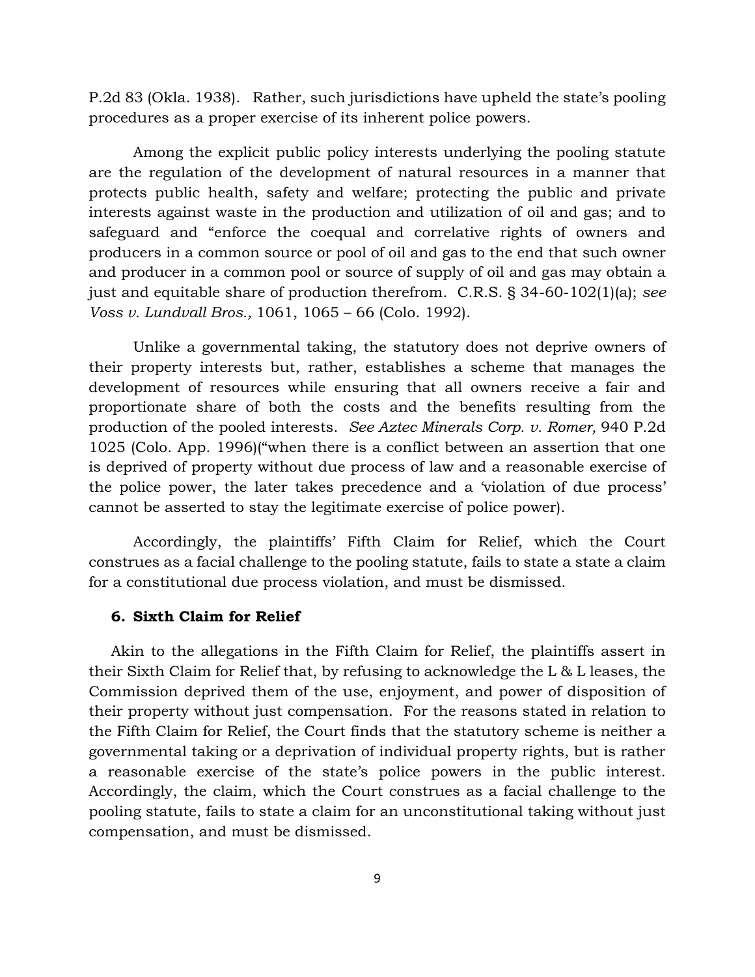P.2d 83 (Okla. 1938). Rather, such jurisdictions have upheld the state's pooling procedures as a proper exercise of its inherent police powers.

Among the explicit public policy interests underlying the pooling statute are the regulation of the development of natural resources in a manner that protects public health, safety and welfare; protecting the public and private interests against waste in the production and utilization of oil and gas; and to safeguard and "enforce the coequal and correlative rights of owners and producers in a common source or pool of oil and gas to the end that such owner and producer in a common pool or source of supply of oil and gas may obtain a just and equitable share of production therefrom. C.R.S. § 34-60-102(1)(a); *see Voss v. Lundvall Bros.,* 1061, 1065 – 66 (Colo. 1992).

Unlike a governmental taking, the statutory does not deprive owners of their property interests but, rather, establishes a scheme that manages the development of resources while ensuring that all owners receive a fair and proportionate share of both the costs and the benefits resulting from the production of the pooled interests. *See Aztec Minerals Corp. v. Romer,* 940 P.2d 1025 (Colo. App. 1996)("when there is a conflict between an assertion that one is deprived of property without due process of law and a reasonable exercise of the police power, the later takes precedence and a 'violation of due process' cannot be asserted to stay the legitimate exercise of police power).

Accordingly, the plaintiffs' Fifth Claim for Relief, which the Court construes as a facial challenge to the pooling statute, fails to state a state a claim for a constitutional due process violation, and must be dismissed.

#### **6. Sixth Claim for Relief**

Akin to the allegations in the Fifth Claim for Relief, the plaintiffs assert in their Sixth Claim for Relief that, by refusing to acknowledge the L & L leases, the Commission deprived them of the use, enjoyment, and power of disposition of their property without just compensation. For the reasons stated in relation to the Fifth Claim for Relief, the Court finds that the statutory scheme is neither a governmental taking or a deprivation of individual property rights, but is rather a reasonable exercise of the state's police powers in the public interest. Accordingly, the claim, which the Court construes as a facial challenge to the pooling statute, fails to state a claim for an unconstitutional taking without just compensation, and must be dismissed.